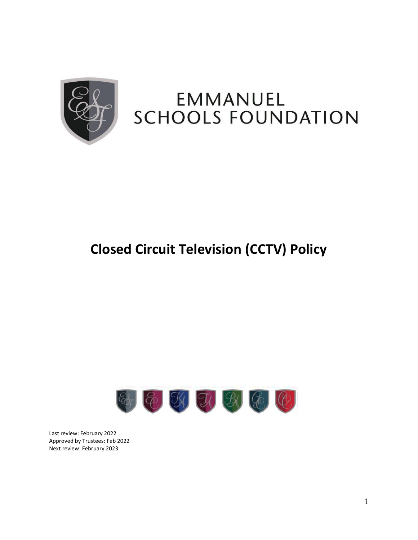

# **Closed Circuit Television (CCTV) Policy**



Last review: February 2022 Approved by Trustees: Feb 2022 Next review: February 2023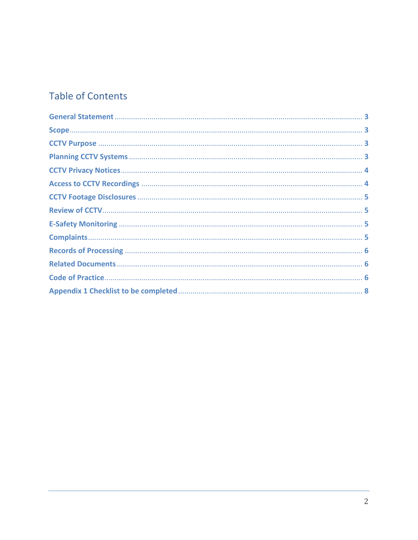# **Table of Contents**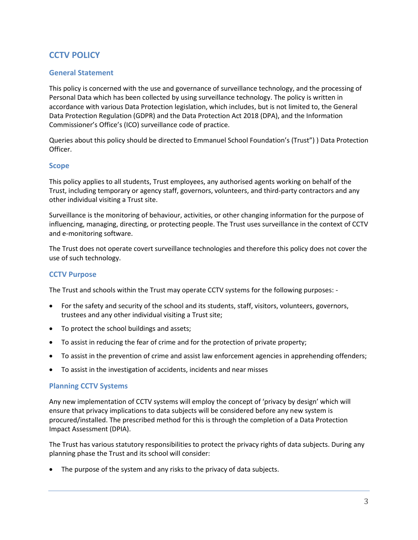## **CCTV POLICY**

#### <span id="page-2-0"></span>**General Statement**

This policy is concerned with the use and governance of surveillance technology, and the processing of Personal Data which has been collected by using surveillance technology. The policy is written in accordance with various Data Protection legislation, which includes, but is not limited to, the General Data Protection Regulation (GDPR) and the Data Protection Act 2018 (DPA), and the Information Commissioner's Office's (ICO) surveillance code of practice.

Queries about this policy should be directed to Emmanuel School Foundation's (Trust") ) Data Protection Officer.

#### <span id="page-2-1"></span>**Scope**

This policy applies to all students, Trust employees, any authorised agents working on behalf of the Trust, including temporary or agency staff, governors, volunteers, and third-party contractors and any other individual visiting a Trust site.

Surveillance is the monitoring of behaviour, activities, or other changing information for the purpose of influencing, managing, directing, or protecting people. The Trust uses surveillance in the context of CCTV and e-monitoring software.

The Trust does not operate covert surveillance technologies and therefore this policy does not cover the use of such technology.

#### <span id="page-2-2"></span>**CCTV Purpose**

The Trust and schools within the Trust may operate CCTV systems for the following purposes: -

- For the safety and security of the school and its students, staff, visitors, volunteers, governors, trustees and any other individual visiting a Trust site;
- To protect the school buildings and assets;
- To assist in reducing the fear of crime and for the protection of private property;
- To assist in the prevention of crime and assist law enforcement agencies in apprehending offenders;
- To assist in the investigation of accidents, incidents and near misses

#### <span id="page-2-3"></span>**Planning CCTV Systems**

Any new implementation of CCTV systems will employ the concept of 'privacy by design' which will ensure that privacy implications to data subjects will be considered before any new system is procured/installed. The prescribed method for this is through the completion of a Data Protection Impact Assessment (DPIA).

The Trust has various statutory responsibilities to protect the privacy rights of data subjects. During any planning phase the Trust and its school will consider:

The purpose of the system and any risks to the privacy of data subjects.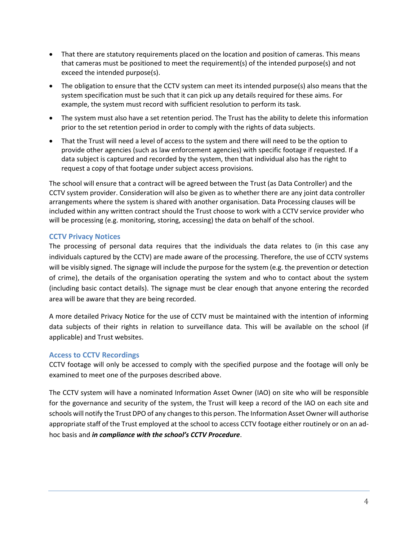- That there are statutory requirements placed on the location and position of cameras. This means that cameras must be positioned to meet the requirement(s) of the intended purpose(s) and not exceed the intended purpose(s).
- The obligation to ensure that the CCTV system can meet its intended purpose(s) also means that the system specification must be such that it can pick up any details required for these aims. For example, the system must record with sufficient resolution to perform its task.
- The system must also have a set retention period. The Trust has the ability to delete this information prior to the set retention period in order to comply with the rights of data subjects.
- That the Trust will need a level of access to the system and there will need to be the option to provide other agencies (such as law enforcement agencies) with specific footage if requested. If a data subject is captured and recorded by the system, then that individual also has the right to request a copy of that footage under subject access provisions.

The school will ensure that a contract will be agreed between the Trust (as Data Controller) and the CCTV system provider. Consideration will also be given as to whether there are any joint data controller arrangements where the system is shared with another organisation. Data Processing clauses will be included within any written contract should the Trust choose to work with a CCTV service provider who will be processing (e.g. monitoring, storing, accessing) the data on behalf of the school.

#### <span id="page-3-0"></span>**CCTV Privacy Notices**

The processing of personal data requires that the individuals the data relates to (in this case any individuals captured by the CCTV) are made aware of the processing. Therefore, the use of CCTV systems will be visibly signed. The signage will include the purpose for the system (e.g. the prevention or detection of crime), the details of the organisation operating the system and who to contact about the system (including basic contact details). The signage must be clear enough that anyone entering the recorded area will be aware that they are being recorded.

A more detailed Privacy Notice for the use of CCTV must be maintained with the intention of informing data subjects of their rights in relation to surveillance data. This will be available on the school (if applicable) and Trust websites.

#### <span id="page-3-1"></span>**Access to CCTV Recordings**

CCTV footage will only be accessed to comply with the specified purpose and the footage will only be examined to meet one of the purposes described above.

The CCTV system will have a nominated Information Asset Owner (IAO) on site who will be responsible for the governance and security of the system, the Trust will keep a record of the IAO on each site and schools will notify the Trust DPO of any changes to this person. The Information Asset Owner will authorise appropriate staff of the Trust employed at the school to access CCTV footage either routinely or on an adhoc basis and *in compliance with the school's CCTV Procedure*.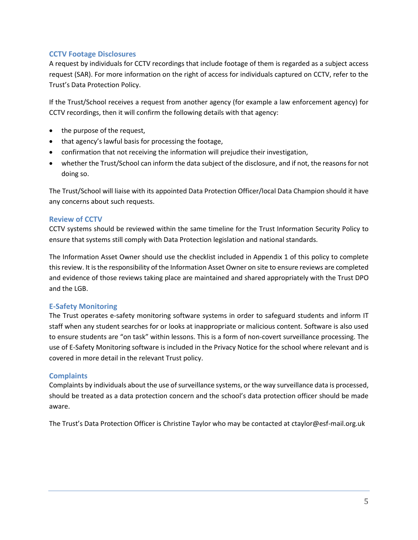#### <span id="page-4-0"></span>**CCTV Footage Disclosures**

A request by individuals for CCTV recordings that include footage of them is regarded as a subject access request (SAR). For more information on the right of access for individuals captured on CCTV, refer to the Trust's Data Protection Policy.

If the Trust/School receives a request from another agency (for example a law enforcement agency) for CCTV recordings, then it will confirm the following details with that agency:

- the purpose of the request,
- that agency's lawful basis for processing the footage,
- confirmation that not receiving the information will prejudice their investigation,
- whether the Trust/School can inform the data subject of the disclosure, and if not, the reasons for not doing so.

The Trust/School will liaise with its appointed Data Protection Officer/local Data Champion should it have any concerns about such requests.

#### <span id="page-4-1"></span>**Review of CCTV**

CCTV systems should be reviewed within the same timeline for the Trust Information Security Policy to ensure that systems still comply with Data Protection legislation and national standards.

The Information Asset Owner should use the checklist included in Appendix 1 of this policy to complete this review. It is the responsibility of the Information Asset Owner on site to ensure reviews are completed and evidence of those reviews taking place are maintained and shared appropriately with the Trust DPO and the LGB.

#### <span id="page-4-2"></span>**E-Safety Monitoring**

The Trust operates e-safety monitoring software systems in order to safeguard students and inform IT staff when any student searches for or looks at inappropriate or malicious content. Software is also used to ensure students are "on task" within lessons. This is a form of non-covert surveillance processing. The use of E-Safety Monitoring software is included in the Privacy Notice for the school where relevant and is covered in more detail in the relevant Trust policy.

#### <span id="page-4-3"></span>**Complaints**

Complaints by individuals about the use of surveillance systems, or the way surveillance data is processed, should be treated as a data protection concern and the school's data protection officer should be made aware.

The Trust's Data Protection Officer is Christine Taylor who may be contacted at ctaylor@esf-mail.org.uk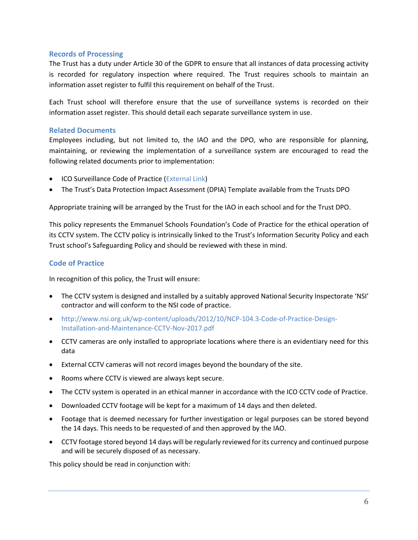#### <span id="page-5-0"></span>**Records of Processing**

The Trust has a duty under Article 30 of the GDPR to ensure that all instances of data processing activity is recorded for regulatory inspection where required. The Trust requires schools to maintain an information asset register to fulfil this requirement on behalf of the Trust.

Each Trust school will therefore ensure that the use of surveillance systems is recorded on their information asset register. This should detail each separate surveillance system in use.

#### <span id="page-5-1"></span>**Related Documents**

Employees including, but not limited to, the IAO and the DPO, who are responsible for planning, maintaining, or reviewing the implementation of a surveillance system are encouraged to read the following related documents prior to implementation:

- ICO Surveillance Code of Practice [\(External Link\)](https://www.google.com/url?sa=t&rct=j&q&esrc=s&source=web&cd=11&cad=rja&uact=8&ved=2ahUKEwiek5qunOvgAhVTtXEKHdfsC68QFjAKegQICRAC&url=https%3A%2F%2Fico.org.uk%2Fmedia%2F1542%2Fcctv-code-of-practice.pdf&usg=AOvVaw2D6BDz75aZ_wQQuCrrCGpI)
- The Trust's Data Protection Impact Assessment (DPIA) Template available from the Trusts DPO

Appropriate training will be arranged by the Trust for the IAO in each school and for the Trust DPO.

This policy represents the Emmanuel Schools Foundation's Code of Practice for the ethical operation of its CCTV system. The CCTV policy is intrinsically linked to the Trust's Information Security Policy and each Trust school's Safeguarding Policy and should be reviewed with these in mind.

#### <span id="page-5-2"></span>**Code of Practice**

In recognition of this policy, the Trust will ensure:

- The CCTV system is designed and installed by a suitably approved National Security Inspectorate 'NSI' contractor and will conform to the NSI code of practice.
- [http://www.nsi.org.uk/wp-content/uploads/2012/10/NCP-104.3-Code-of-Practice-Design-](http://www.nsi.org.uk/wp-content/uploads/2012/10/NCP-104.3-Code-of-Practice-Design-Installation-and-Maintenance-CCTV-Nov-2017.pdf)[Installation-and-Maintenance-CCTV-Nov-2017.pdf](http://www.nsi.org.uk/wp-content/uploads/2012/10/NCP-104.3-Code-of-Practice-Design-Installation-and-Maintenance-CCTV-Nov-2017.pdf)
- CCTV cameras are only installed to appropriate locations where there is an evidentiary need for this data
- External CCTV cameras will not record images beyond the boundary of the site.
- Rooms where CCTV is viewed are always kept secure.
- The CCTV system is operated in an ethical manner in accordance with the ICO CCTV code of Practice.
- Downloaded CCTV footage will be kept for a maximum of 14 days and then deleted.
- Footage that is deemed necessary for further investigation or legal purposes can be stored beyond the 14 days. This needs to be requested of and then approved by the IAO.
- CCTV footage stored beyond 14 days will be regularly reviewed for its currency and continued purpose and will be securely disposed of as necessary.

This policy should be read in conjunction with: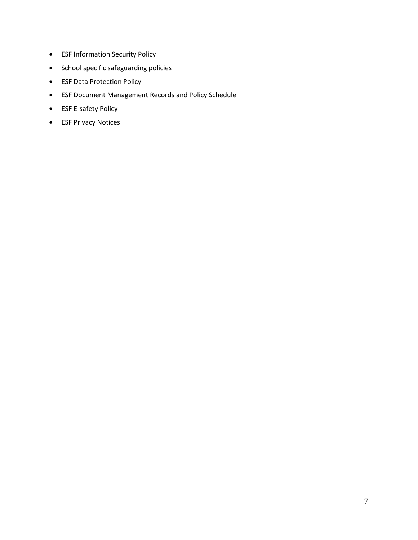- ESF Information Security Policy
- School specific safeguarding policies
- ESF Data Protection Policy
- ESF Document Management Records and Policy Schedule
- ESF E-safety Policy
- ESF Privacy Notices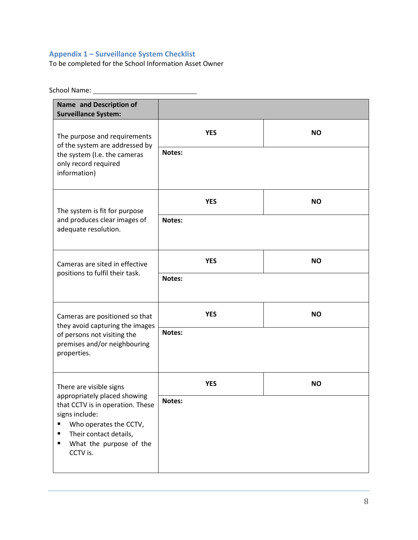### <span id="page-7-0"></span>**Appendix 1 – Surveillance System Checklist**

To be completed for the School Information Asset Owner

School Name:

| Name and Description of<br><b>Surveillance System:</b>                                                                                                                                  |            |           |
|-----------------------------------------------------------------------------------------------------------------------------------------------------------------------------------------|------------|-----------|
| The purpose and requirements<br>of the system are addressed by<br>the system (I.e. the cameras<br>only record required<br>information)                                                  | <b>YES</b> | <b>NO</b> |
|                                                                                                                                                                                         | Notes:     |           |
| The system is fit for purpose<br>and produces clear images of<br>adequate resolution.                                                                                                   | <b>YES</b> | <b>NO</b> |
|                                                                                                                                                                                         | Notes:     |           |
| Cameras are sited in effective<br>positions to fulfil their task.                                                                                                                       | <b>YES</b> | <b>NO</b> |
|                                                                                                                                                                                         | Notes:     |           |
| Cameras are positioned so that<br>they avoid capturing the images<br>of persons not visiting the<br>premises and/or neighbouring<br>properties.                                         | <b>YES</b> | <b>NO</b> |
|                                                                                                                                                                                         | Notes:     |           |
| There are visible signs                                                                                                                                                                 | <b>YES</b> | <b>NO</b> |
| appropriately placed showing<br>that CCTV is in operation. These<br>signs include:<br>Who operates the CCTV,<br>Their contact details,<br>п<br>What the purpose of the<br>п<br>CCTV is. | Notes:     |           |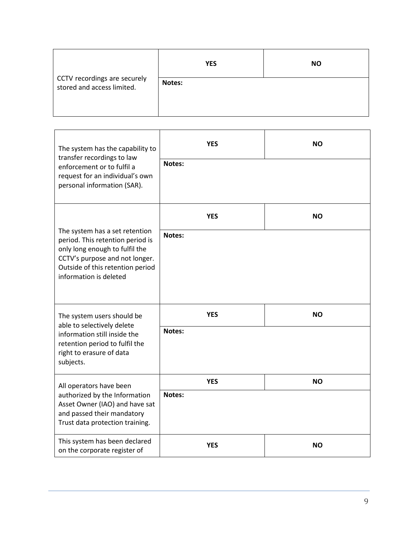| CCTV recordings are securely<br>stored and access limited. | <b>YES</b> | <b>NO</b> |
|------------------------------------------------------------|------------|-----------|
|                                                            | Notes:     |           |

| The system has the capability to<br>transfer recordings to law                                                                                                                                       | <b>YES</b> | NΟ        |
|------------------------------------------------------------------------------------------------------------------------------------------------------------------------------------------------------|------------|-----------|
| enforcement or to fulfil a<br>request for an individual's own<br>personal information (SAR).                                                                                                         | Notes:     |           |
|                                                                                                                                                                                                      | <b>YES</b> | <b>NO</b> |
| The system has a set retention<br>period. This retention period is<br>only long enough to fulfil the<br>CCTV's purpose and not longer.<br>Outside of this retention period<br>information is deleted | Notes:     |           |
| The system users should be<br>able to selectively delete<br>information still inside the<br>retention period to fulfil the<br>right to erasure of data<br>subjects.                                  | <b>YES</b> | <b>NO</b> |
|                                                                                                                                                                                                      | Notes:     |           |
| All operators have been<br>authorized by the Information<br>Asset Owner (IAO) and have sat<br>and passed their mandatory<br>Trust data protection training.                                          | <b>YES</b> | <b>NO</b> |
|                                                                                                                                                                                                      | Notes:     |           |
| This system has been declared<br>on the corporate register of                                                                                                                                        | <b>YES</b> | <b>NO</b> |